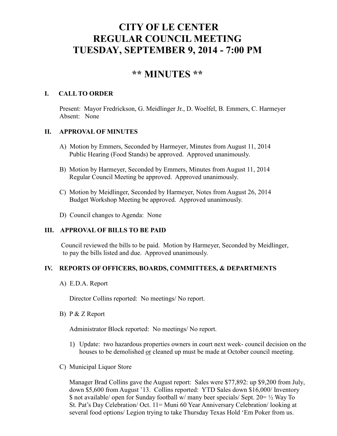# **CITY OF LE CENTER REGULAR COUNCIL MEETING TUESDAY, SEPTEMBER 9, 2014 - 7:00 PM**

# **\*\* MINUTES \*\***

#### **I. CALL TO ORDER**

Present: Mayor Fredrickson, G. Meidlinger Jr., D. Woelfel, B. Emmers, C. Harmeyer Absent: None

## **II. APPROVAL OF MINUTES**

- A) Motion by Emmers, Seconded by Harmeyer, Minutes from August 11, 2014 Public Hearing (Food Stands) be approved. Approved unanimously.
- B) Motion by Harmeyer, Seconded by Emmers, Minutes from August 11, 2014 Regular Council Meeting be approved. Approved unanimously.
- C) Motion by Meidlinger, Seconded by Harmeyer, Notes from August 26, 2014 Budget Workshop Meeting be approved. Approved unanimously.
- D) Council changes to Agenda: None

# **III. APPROVAL OF BILLS TO BE PAID**

Council reviewed the bills to be paid. Motion by Harmeyer, Seconded by Meidlinger, to pay the bills listed and due. Approved unanimously.

#### **IV. REPORTS OF OFFICERS, BOARDS, COMMITTEES, & DEPARTMENTS**

A) E.D.A. Report

Director Collins reported: No meetings/ No report.

B) P & Z Report

Administrator Block reported: No meetings/ No report.

- 1) Update: two hazardous properties owners in court next week- council decision on the houses to be demolished or cleaned up must be made at October council meeting.
- C) Municipal Liquor Store

Manager Brad Collins gave the August report: Sales were \$77,892: up \$9,200 from July, down \$5,600 from August '13. Collins reported: YTD Sales down \$16,000/ Inventory \$ not available/ open for Sunday football w/ many beer specials/ Sept. 20= ½ Way To St. Pat's Day Celebration/ Oct. 11= Muni 60 Year Anniversary Celebration/ looking at several food options/ Legion trying to take Thursday Texas Hold 'Em Poker from us.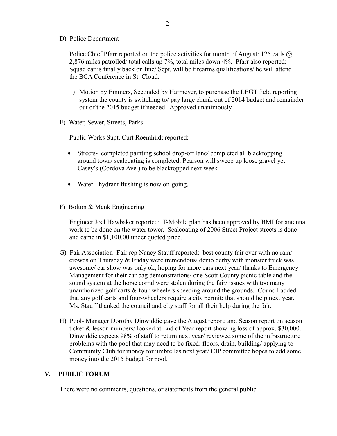D) Police Department

Police Chief Pfarr reported on the police activities for month of August: 125 calls @ 2,876 miles patrolled/ total calls up 7%, total miles down 4%. Pfarr also reported: Squad car is finally back on line/ Sept. will be firearms qualifications/ he will attend the BCA Conference in St. Cloud.

- 1) Motion by Emmers, Seconded by Harmeyer, to purchase the LEGT field reporting system the county is switching to/ pay large chunk out of 2014 budget and remainder out of the 2015 budget if needed. Approved unanimously.
- E) Water, Sewer, Streets, Parks

Public Works Supt. Curt Roemhildt reported:

- Streets- completed painting school drop-off lane/ completed all blacktopping around town/ sealcoating is completed; Pearson will sweep up loose gravel yet. Casey's (Cordova Ave.) to be blacktopped next week.
- Water- hydrant flushing is now on-going.
- F) Bolton & Menk Engineering

 Engineer Joel Hawbaker reported: T-Mobile plan has been approved by BMI for antenna work to be done on the water tower. Sealcoating of 2006 Street Project streets is done and came in \$1,100.00 under quoted price.

- G) Fair Association- Fair rep Nancy Stauff reported: best county fair ever with no rain/ crowds on Thursday & Friday were tremendous/ demo derby with monster truck was awesome/ car show was only ok; hoping for more cars next year/ thanks to Emergency Management for their car bag demonstrations/ one Scott County picnic table and the sound system at the horse corral were stolen during the fair/ issues with too many unauthorized golf carts & four-wheelers speeding around the grounds. Council added that any golf carts and four-wheelers require a city permit; that should help next year. Ms. Stauff thanked the council and city staff for all their help during the fair.
- H) Pool- Manager Dorothy Dinwiddie gave the August report; and Season report on season ticket & lesson numbers/ looked at End of Year report showing loss of approx. \$30,000. Dinwiddie expects 98% of staff to return next year/ reviewed some of the infrastructure problems with the pool that may need to be fixed: floors, drain, building/ applying to Community Club for money for umbrellas next year/ CIP committee hopes to add some money into the 2015 budget for pool.

#### **V. PUBLIC FORUM**

There were no comments, questions, or statements from the general public.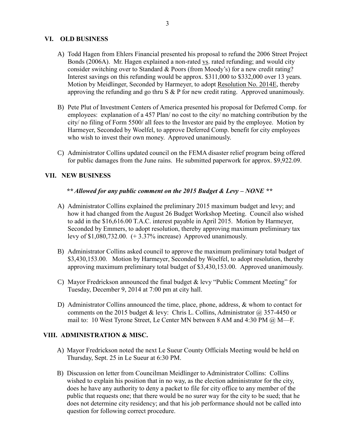# **VI. OLD BUSINESS**

- A) Todd Hagen from Ehlers Financial presented his proposal to refund the 2006 Street Project Bonds (2006A). Mr. Hagen explained a non-rated vs. rated refunding; and would city consider switching over to Standard & Poors (from Moody's) for a new credit rating? Interest savings on this refunding would be approx. \$311,000 to \$332,000 over 13 years. Motion by Meidlinger, Seconded by Harmeyer, to adopt Resolution No. 2014E, thereby approving the refunding and go thru S & P for new credit rating. Approved unanimously.
- B) Pete Plut of Investment Centers of America presented his proposal for Deferred Comp. for employees: explanation of a 457 Plan/ no cost to the city/ no matching contribution by the city/ no filing of Form 5500/ all fees to the Investor are paid by the employee. Motion by Harmeyer, Seconded by Woelfel, to approve Deferred Comp. benefit for city employees who wish to invest their own money. Approved unanimously.
- C) Administrator Collins updated council on the FEMA disaster relief program being offered for public damages from the June rains. He submitted paperwork for approx. \$9,922.09.

## **VII. NEW BUSINESS**

#### *\*\* Allowed for any public comment on the 2015 Budget & Levy – NONE \*\**

- A) Administrator Collins explained the preliminary 2015 maximum budget and levy; and how it had changed from the August 26 Budget Workshop Meeting. Council also wished to add in the \$16,616.00 T.A.C. interest payable in April 2015. Motion by Harmeyer, Seconded by Emmers, to adopt resolution, thereby approving maximum preliminary tax levy of \$1,080,732.00. (+ 3.37% increase) Approved unanimously.
- B) Administrator Collins asked council to approve the maximum preliminary total budget of \$3,430,153.00. Motion by Harmeyer, Seconded by Woelfel, to adopt resolution, thereby approving maximum preliminary total budget of \$3,430,153.00. Approved unanimously.
- C) Mayor Fredrickson announced the final budget & levy "Public Comment Meeting" for Tuesday, December 9, 2014 at 7:00 pm at city hall.
- D) Administrator Collins announced the time, place, phone, address, & whom to contact for comments on the 2015 budget & levy: Chris L. Collins, Administrator  $\omega$ , 357-4450 or mail to: 10 West Tyrone Street, Le Center MN between 8 AM and 4:30 PM @ M—F.

#### **VIII. ADMINISTRATION & MISC.**

- A) Mayor Fredrickson noted the next Le Sueur County Officials Meeting would be held on Thursday, Sept. 25 in Le Sueur at 6:30 PM.
- B) Discussion on letter from Councilman Meidlinger to Administrator Collins: Collins wished to explain his position that in no way, as the election administrator for the city, does he have any authority to deny a packet to file for city office to any member of the public that requests one; that there would be no surer way for the city to be sued; that he does not determine city residency; and that his job performance should not be called into question for following correct procedure.